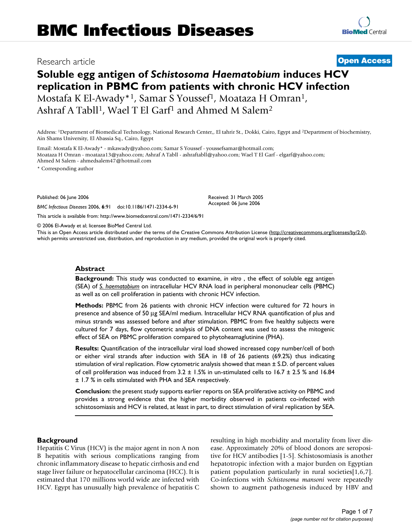# **Soluble egg antigen of** *Schistosoma Haematobium* **induces HCV replication in PBMC from patients with chronic HCV infection** Mostafa K El-Awady\*<sup>1</sup>, Samar S Youssef<sup>1</sup>, Moataza H Omran<sup>1</sup>,

Ashraf A Tabll<sup>1</sup>, Wael T El Garf<sup>1</sup> and Ahmed M Salem<sup>2</sup>

Address: 1Department of Biomedical Technology, National Research Center,, El tahrir St., Dokki, Cairo, Egypt and 2Department of biochemistry, Ain Shams University, El Abassia Sq., Cairo, Egypt

Email: Mostafa K El-Awady\* - mkawady@yahoo.com; Samar S Youssef - youssefsamar@hotmail.com; Moataza H Omran - moataza13@yahoo.com; Ashraf A Tabll - ashraftabll@yahoo.com; Wael T El Garf - elgarf@yahoo.com; Ahmed M Salem - ahmedsalem47@hotmail.com

\* Corresponding author

Published: 06 June 2006

*BMC Infectious Diseases* 2006, **6**:91 doi:10.1186/1471-2334-6-91

[This article is available from: http://www.biomedcentral.com/1471-2334/6/91](http://www.biomedcentral.com/1471-2334/6/91)

© 2006 El-Awady et al; licensee BioMed Central Ltd.

This is an Open Access article distributed under the terms of the Creative Commons Attribution License [\(http://creativecommons.org/licenses/by/2.0\)](http://creativecommons.org/licenses/by/2.0), which permits unrestricted use, distribution, and reproduction in any medium, provided the original work is properly cited.

### **Abstract**

**Background:** This study was conducted to **e**xamine, *in vitro* , the effect of soluble egg antigen (SEA) of *S. haematobium* on intracellular HCV RNA load in peripheral mononuclear cells (PBMC) as well as on cell proliferation in patients with chronic HCV infection.

**Methods:** PBMC from 26 patients with chronic HCV infection were cultured for 72 hours in presence and absence of 50 μg SEA/ml medium. Intracellular HCV RNA quantification of plus and minus strands was assessed before and after stimulation. PBMC from five healthy subjects were cultured for 7 days, flow cytometric analysis of DNA content was used to assess the mitogenic effect of SEA on PBMC proliferation compared to phytoheamaglutinine (PHA).

**Results:** Quantification of the intracellular viral load showed increased copy number/cell of both or either viral strands after induction with SEA in 18 of 26 patients (69.2%) thus indicating stimulation of viral replication. Flow cytometric analysis showed that mean ± S.D. of percent values of cell proliferation was induced from  $3.2 \pm 1.5\%$  in un-stimulated cells to  $16.7 \pm 2.5\%$  and  $16.84$ ± 1.7 % in cells stimulated with PHA and SEA respectively.

**Conclusion:** the present study supports earlier reports on SEA proliferative activity on PBMC and provides a strong evidence that the higher morbidity observed in patients co-infected with schistosomiasis and HCV is related, at least in part, to direct stimulation of viral replication by SEA.

### **Background**

Hepatitis C Virus (HCV) is the major agent in non A non B hepatitis with serious complications ranging from chronic inflammatory disease to hepatic cirrhosis and end stage liver failure or hepatocellular carcinoma (HCC). It is estimated that 170 millions world wide are infected with HCV. Egypt has unusually high prevalence of hepatitis C resulting in high morbidity and mortality from liver disease. Approximately 20% of blood donors are seropositive for HCV antibodies [1-5]. Schistosomiasis is another hepatotropic infection with a major burden on Egyptian patient population particularly in rural societies[1,6,7]. Co-infections with *Schistosoma mansoni* were repeatedly shown to augment pathogenesis induced by HBV and

Received: 31 March 2005 Accepted: 06 June 2006

Research article **[Open Access](http://www.biomedcentral.com/info/about/charter/)**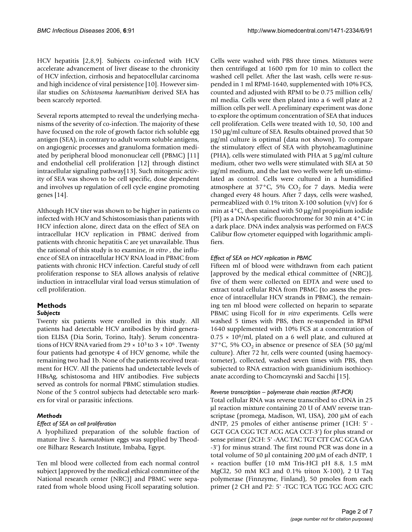HCV hepatitis [2,8,9]. Subjects co-infected with HCV accelerate advancement of liver disease to the chronicity of HCV infection, cirrhosis and hepatocellular carcinoma and high incidence of viral persistence [10]. However similar studies on *Schistosoma haematibium* derived SEA has been scarcely reported.

Several reports attempted to reveal the underlying mechanisms of the severity of co-infection. The majority of these have focused on the role of growth factor rich soluble egg antigen (SEA), in contrary to adult worm soluble antigens, on angiogenic processes and granuloma formation mediated by peripheral blood mononuclear cell (PBMC) [11] and endothelial cell proliferation [12] through distinct intracellular signaling pathway[13]. Such mitogenic activity of SEA was shown to be cell specific, dose dependent and involves up regulation of cell cycle engine promoting genes [14].

Although HCV titer was shown to be higher in patients co infected with HCV and Schistosomiasis than patients with HCV infection alone, direct data on the effect of SEA on intracellular HCV replication in PBMC derived from patients with chronic hepatitis C are yet unavailable. Thus the rational of this study is to examine, *in vitro* , the influence of SEA on intracellular HCV RNA load in PBMC from patients with chronic HCV infection. Careful study of cell proliferation response to SEA allows analysis of relative induction in intracellular viral load versus stimulation of cell proliferation.

# **Methods**

# *Subjects*

Twenty six patients were enrolled in this study. All patients had detectable HCV antibodies by third generation ELISA (Dia Sorin, Torino, Italy). Serum concentrations of HCV RNA varied from 29  $\times$  10<sup>3</sup> to 3  $\times$  10<sup>6</sup>. Twenty four patients had genotype 4 of HCV genome, while the remaining two had 1b. None of the patients received treatment for HCV. All the patients had undetectable levels of HBsAg, schistosoma and HIV antibodies. Five subjects served as controls for normal PBMC stimulation studies. None of the 5 control subjects had detectable sero markers for viral or parasitic infections.

# *Methods*

# *Effect of SEA on cell proliferation*

A lyophilized preparation of the soluble fraction of mature live *S. haematobium* eggs was supplied by Theodore Bilharz Research Institute, Imbaba, Egypt.

Ten ml blood were collected from each normal control subject [approved by the medical ethical committee of the National research center (NRC)] and PBMC were separated from whole blood using Ficoll separating solution.

Cells were washed with PBS three times. Mixtures were then centrifuged at 1600 rpm for 10 min to collect the washed cell pellet. After the last wash, cells were re-suspended in 1 ml RPMI-1640, supplemented with 10% FCS, counted and adjusted with RPMI to be 0.75 million cells/ ml media. Cells were then plated into a 6 well plate at 2 million cells per well. A preliminary experiment was done to explore the optimum concentration of SEA that induces cell proliferation. Cells were treated with 10, 50, 100 and 150 μg/ml culture of SEA. Results obtained proved that 50 μg/ml culture is optimal (data not shown). To compare the stimulatory effect of SEA with phytoheamaglutinine (PHA), cells were stimulated with PHA at 5 μg/ml culture medium, other two wells were stimulated with SEA at 50 μg/ml medium, and the last two wells were left un-stimulated as control. Cells were cultured in a humidified atmosphere at  $37^{\circ}$ C, 5% CO<sub>2</sub> for 7 days. Media were changed every 48 hours. After 7 days, cells were washed, permeablized with 0.1% triton X-100 solution  $(v/v)$  for 6 min at 4°C, then stained with 50 μg/ml propidium iodide (PI) as a DNA-specific fluorochrome for 30 min at 4°C in a dark place. DNA index analysis was performed on FACS Calibur flow cytometer equipped with logarithmic amplifiers.

# *Effect of SEA on HCV replication in PBMC*

Fifteen ml of blood were withdrawn from each patient [approved by the medical ethical committee of (NRC)], five of them were collected on EDTA and were used to extract total cellular RNA from PBMC (to assess the presence of intracellular HCV strands in PBMC), the remaining ten ml blood were collected on heparin to separate PBMC using Ficoll for *in vitro* experiments. Cells were washed 5 times with PBS, then re-suspended in RPMI 1640 supplemented with 10% FCS at a concentration of  $0.75 \times 10^6$ /ml, plated on a 6 well plate, and cultured at  $37^{\circ}$ C, 5% CO<sub>2</sub> in absence or presence of SEA (50 µg/ml) culture). After 72 hr, cells were counted (using haemocytometer), collected, washed seven times with PBS, then subjected to RNA extraction with guanidinium isothiocyanate according to Chomczynski and Sacchi [15].

# *Reverse transcription – polymerase chain reaction (RT-PCR)*

Total cellular RNA was reverse transcribed to cDNA in 25 μl reaction mixture containing 20 U of AMV reverse transcriptase (promega, Madison, WI, USA), 200 μM of each dNTP, 25 pmoles of either antisense primer (1CH: 5' - GGT GCA CGG TCT ACG AGA CCT-3') for plus strand or sense primer (2CH: 5' -AAC TAC TGT CTT CAC GCA GAA -3') for minus strand. The first round PCR was done in a total volume of 50 μl containing 200 μM of each dNTP, 1 × reaction buffer (10 mM Tris-HCl pH 8.8, 1.5 mM MgCl2, 50 mM KCl and 0.1% triton X-100), 2 U Taq polymerase (Finnzyme, Finland), 50 pmoles from each primer (2 CH and P2: 5' -TGC TCA TGG TGC ACG GTC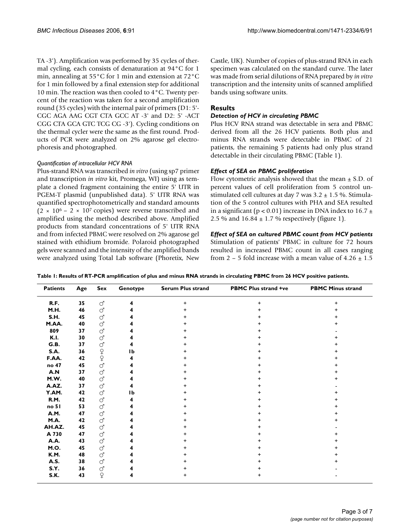TA -3'). Amplification was performed by 35 cycles of thermal cycling, each consists of denaturation at 94°C for 1 min, annealing at 55°C for 1 min and extension at 72°C for 1 min followed by a final extension step for additional 10 min. The reaction was then cooled to 4°C. Twenty percent of the reaction was taken for a second amplification round (35 cycles) with the internal pair of primers (D1: 5'- CGC AGA AAG CGT CTA GCC AT -3' and D2: 5' -ACT CGG CTA GCA GTC TCG CG -3'). Cycling conditions on the thermal cycler were the same as the first round. Products of PCR were analyzed on 2% agarose gel electrophoresis and photographed.

### *Quantification of intracellular HCV RNA*

Plus-strand RNA was transcribed *in vitro* (using sp7 primer and transcription *in vitro* kit, Promega, WI) using as template a cloned fragment containing the entire 5' UTR in PGEM-T plasmid (unpublished data). 5' UTR RNA was quantified spectrophotometrically and standard amounts  $(2 \times 10^6 - 2 \times 10^7 \text{ copies})$  were reverse transcribed and amplified using the method described above. Amplified products from standard concentrations of 5' UTR RNA and from infected PBMC were resolved on 2% agarose gel stained with ethidium bromide. Polaroid photographed gels were scanned and the intensity of the amplified bands were analyzed using Total Lab software (Phoretix, New Castle, UK). Number of copies of plus-strand RNA in each specimen was calculated on the standard curve. The later was made from serial dilutions of RNA prepared by *in vitro* transcription and the intensity units of scanned amplified bands using software units.

# **Results**

### *Detection of HCV in circulating PBMC*

Plus HCV RNA strand was detectable in sera and PBMC derived from all the 26 HCV patients. Both plus and minus RNA strands were detectable in PBMC of 21 patients, the remaining 5 patients had only plus strand detectable in their circulating PBMC (Table 1).

# *Effect of SEA on PBMC proliferation*

Flow cytometric analysis showed that the mean  $\pm$  S.D. of percent values of cell proliferation from 5 control unstimulated cell cultures at day 7 was  $3.2 \pm 1.5$  %. Stimulation of the 5 control cultures with PHA and SEA resulted in a significant ( $p < 0.01$ ) increase in DNA index to 16.7  $\pm$ 2.5 % and  $16.84 \pm 1.7$  % respectively (figure 1).

# *Effect of SEA on cultured PBMC count from HCV patients*

Stimulation of patients' PBMC in culture for 72 hours resulted in increased PBMC count in all cases ranging from 2 – 5 fold increase with a mean value of  $4.26 \pm 1.5$ 

| <b>Patients</b> | Age | Sex                                                     | Genotype  | <b>Serum Plus strand</b> | <b>PBMC Plus strand +ve</b> | <b>PBMC Minus strand</b> |
|-----------------|-----|---------------------------------------------------------|-----------|--------------------------|-----------------------------|--------------------------|
| R.F.            | 35  | $\vec{C}$                                               | 4         | $\ddot{}$                | +                           |                          |
| M.H.            | 46  | ď                                                       | 4         | +                        |                             |                          |
| S.H.            | 45  | <b>ි</b>                                                |           | +                        |                             |                          |
| M.AA.           | 40  | <b>ි</b>                                                |           | +                        |                             |                          |
| 809             | 37  | <b>ි</b>                                                |           | +                        |                             |                          |
| <b>K.I.</b>     | 30  | ď                                                       |           | $\ddot{}$                |                             |                          |
| G.B.            | 37  | ď                                                       | 4         | +                        |                             |                          |
| S.A.            | 36  |                                                         | <b>Ib</b> | +                        |                             |                          |
| F.AA.           | 42  | $\begin{array}{c} \n\text{Q} \\ \n\text{Q} \end{array}$ | 4         | +                        |                             |                          |
| no 47           | 45  | $\vec{C}$                                               |           | +                        |                             |                          |
| A.N             | 37  | ď                                                       |           | +                        |                             |                          |
| M.W.            | 40  | ď                                                       |           | +                        |                             |                          |
| A.AZ.           | 37  | <b>ි</b>                                                | 4         | +                        |                             |                          |
| Y.AM.           | 42  | ď                                                       | <b>Ib</b> | ÷                        |                             |                          |
| R.M.            | 42  | <b>ි</b>                                                | 4         | ÷                        |                             |                          |
| no 51           | 53  | ď                                                       |           | +                        |                             |                          |
| A.M.            | 47  | ď                                                       |           | ÷                        |                             |                          |
| <b>M.A.</b>     | 42  | ď                                                       |           | +                        |                             |                          |
| AH.AZ.          | 45  | <b>ි</b>                                                |           | +                        |                             |                          |
| A 730           | 47  | ď                                                       |           | +                        |                             |                          |
| <b>A.A.</b>     | 43  | ď                                                       |           | +                        |                             |                          |
| M.O.            | 45  | ď                                                       |           | +                        |                             |                          |
| K.M.            | 48  | ď                                                       |           | +                        |                             |                          |
| A.S.            | 38  | ď                                                       |           | ÷                        |                             |                          |
| S.Y.            | 36  | ď                                                       |           | +                        |                             |                          |
| S.K.            | 43  | $\operatorname{\mathsf{\mathsf{Q}}}$                    | 4         | +                        | +                           |                          |

**Table 1: Results of RT-PCR amplification of plus and minus RNA strands in circulating PBMC from 26 HCV positive patients.**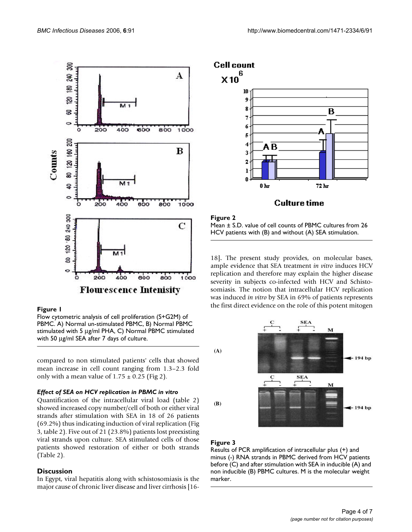

### Figure 1

Flow cytometric analysis of cell proliferation (S+G2M) of PBMC. A) Normal un-stimulated PBMC, B) Normal PBMC stimulated with 5 μg/ml PHA, C) Normal PBMC stimulated with 50 μg/ml SEA after 7 days of culture.

compared to non stimulated patients' cells that showed mean increase in cell count ranging from 1.3–2.3 fold only with a mean value of  $1.75 \pm 0.25$  (Fig 2).

### *Effect of SEA on HCV replication in PBMC in vitro*

Quantification of the intracellular viral load (table 2) showed increased copy number/cell of both or either viral strands after stimulation with SEA in 18 of 26 patients (69.2%) thus indicating induction of viral replication (Fig 3, table 2). Five out of 21 (23.8%) patients lost preexisting viral strands upon culture. SEA stimulated cells of those patients showed restoration of either or both strands (Table 2).

### **Discussion**

In Egypt, viral hepatitis along with schistosomiasis is the major cause of chronic liver disease and liver cirrhosis [16-



### Figure 2 Mean ± S.D. value of cell counts of PBMC cultures from 26 HCV patients with (B) and without (A) SEA stimulation.

18]**.** The present study provides, on molecular bases, ample evidence that SEA treatment *in vitro* induces HCV replication and therefore may explain the higher disease severity in subjects co-infected with HCV and Schistosomiasis. The notion that intracellular HCV replication was induced *in vitro* by SEA in 69% of patients represents the first direct evidence on the role of this potent mitogen



# Figure 3

Results of PCR amplification of intracellular plus (+) and minus (-) RNA strands in PBMC derived from HCV patients before (C) and after stimulation with SEA in inducible (A) and non inducible (B) PBMC cultures. M is the molecular weight marker.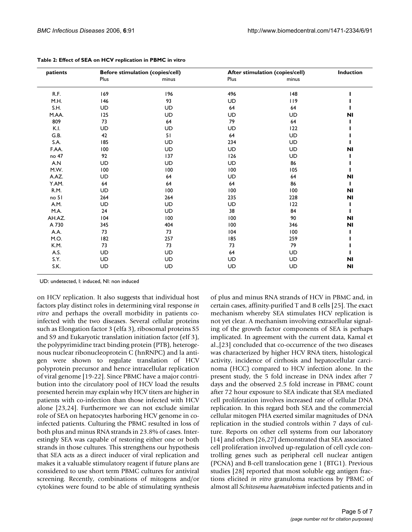| patients         |           | <b>Before stimulation (copies/cell)</b> | After stimulation (copies/cell) |           | Induction      |
|------------------|-----------|-----------------------------------------|---------------------------------|-----------|----------------|
|                  | Plus      | minus                                   | Plus                            | minus     |                |
| R.F.             | 169       | 196                                     | 496                             | 148       |                |
| M.H.             | 146       | 93                                      | UD                              | 119       |                |
| S.H.             | UD        | UD                                      | 64                              | 64        |                |
| M.AA.            | 125       | UD                                      | UD                              | <b>UD</b> | <b>NI</b>      |
| 809              | 73        | 64                                      | 79                              | 64        |                |
| K.I.             | <b>UD</b> | UD                                      | UD                              | 122       |                |
| G.B.             | 42        | 51                                      | 64                              | <b>UD</b> |                |
| S.A.             | 185       | <b>UD</b>                               | 234                             | UD        |                |
| F.AA.            | 100       | <b>UD</b>                               | <b>UD</b>                       | UD        | N <sub>1</sub> |
| no 47            | 92        | 137                                     | 126                             | UD        |                |
| A.N              | UD        | <b>UD</b>                               | <b>UD</b>                       | 86        |                |
| M.W.             | 100       | 100                                     | 100                             | 105       |                |
| A.AZ.            | UD        | 64                                      | <b>UD</b>                       | 64        | <b>NI</b>      |
| Y.AM.            | 64        | 64                                      | 64                              | 86        |                |
| R.M.             | UD        | 100                                     | 100                             | 100       | <b>NI</b>      |
| no <sub>51</sub> | 264       | 264                                     | 235                             | 228       | <b>NI</b>      |
| A.M.             | UD        | <b>UD</b>                               | UD                              | 122       |                |
| M.A.             | 24        | UD                                      | 38                              | 84        |                |
| AH.AZ.           | 104       | 100                                     | 100                             | 90        | <b>NI</b>      |
| A 730            | 345       | 404                                     | 100                             | 346       | <b>NI</b>      |
| A.A.             | 73        | 73                                      | 104                             | 100       |                |
| M.O.             | 182       | 257                                     | 185                             | 259       |                |
| K.M.             | 73        | 73                                      | 73                              | 79        |                |
| A.S.             | UD        | UD                                      | 64                              | <b>UD</b> |                |
| S.Y.             | UD        | <b>UD</b>                               | <b>UD</b>                       | UD        | N <sub>1</sub> |
| S.K.             | UD        | UD                                      | UD                              | UD        | NI             |

UD: undetected, I: induced, NI: non induced

on HCV replication. It also suggests that individual host factors play distinct roles in determining viral response *in vitro* and perhaps the overall morbidity in patients coinfected with the two diseases. Several cellular proteins such as Elongation factor 3 (elfa 3), ribosomal proteins S5 and S9 and Eukaryotic translation initiation factor (eIf 3), the polypyrimidine tract binding protein (PTB), heterogenous nuclear ribonucleoprotein C (hnRNPC) and la antigen were shown to regulate translation of HCV polyprotein precursor and hence intracellular replication of viral genome [19-22]. Since PBMC have a major contribution into the circulatory pool of HCV load the results presented herein may explain why HCV titers are higher in patients with co-infection than those infected with HCV alone [23,24]. Furthermore we can not exclude similar role of SEA on hepatocytes harboring HCV genome in coinfected patients. Culturing the PBMC resulted in loss of both plus and minus RNA strands in 23.8% of cases. Interestingly SEA was capable of restoring either one or both strands in those cultures. This strengthens our hypothesis that SEA acts as a direct inducer of viral replication and makes it a valuable stimulatory reagent if future plans are considered to use short term PBMC cultures for antiviral screening. Recently, combinations of mitogens and/or cytokines were found to be able of stimulating synthesis

of plus and minus RNA strands of HCV in PBMC and, in certain cases, affinity-purified T and B cells [25]. The exact mechanism whereby SEA stimulates HCV replication is not yet clear. A mechanism involving extracellular signaling of the growth factor components of SEA is perhaps implicated. In agreement with the current data, Kamal et al.,[23] concluded that co-occurrence of the two diseases was characterized by higher HCV RNA titers, histological activity, incidence of cirrhosis and hepatocellular carcinoma (HCC) compared to HCV infection alone. In the present study, the 5 fold increase in DNA index after 7 days and the observed 2.5 fold increase in PBMC count after 72 hour exposure to SEA indicate that SEA mediated cell proliferation involves increased rate of cellular DNA replication. In this regard both SEA and the commercial cellular mitogen PHA exerted similar magnitudes of DNA replication in the studied controls within 7 days of culture. Reports on other cell systems from our laboratory [14] and others [26,27] demonstrated that SEA associated cell proliferation involved up-regulation of cell cycle controlling genes such as peripheral cell nuclear antigen (PCNA) and B-cell translocation gene 1 (BTG1). Previous studies [28] reported that most soluble egg antigen fractions elicited *in vitro* granuloma reactions by PBMC of almost all *Schitosoma haematobium* infected patients and in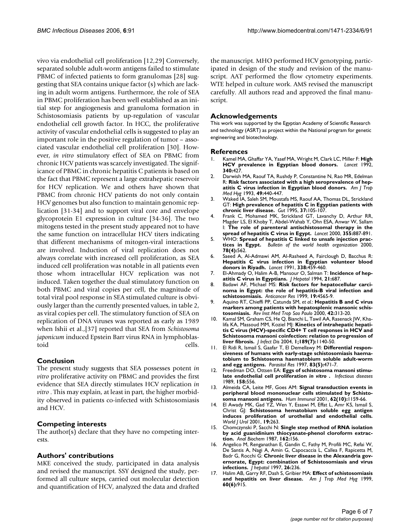vivo via endothelial cell proliferation [12,29] Conversely, separated soluble adult-worm antigens failed to stimulate PBMC of infected patients to form granulomas [28] suggesting that SEA contains unique factor (s) which are lacking in adult worm antigens. Furthermore, the role of SEA in PBMC proliferation has been well established as an initial step for angiogenesis and granuloma formation in Schistosomiasis patients by up-regulation of vascular endothelial cell growth factor. In HCC, the proliferative activity of vascular endothelial cells is suggested to play an important role in the positive regulation of tumor – associated vascular endothelial cell proliferation [30]. However, *in vitro* stimulatory effect of SEA on PBMC from chronic HCV patients was scarcely investigated. The significance of PBMC in chronic hepatitis C patients is based on the fact that PBMC represent a large extrahepatic reservoir for HCV replication. We and others have shown that PBMC from chronic HCV patients do not only contain HCV genomes but also function to maintain genomic replication [31-34] and to support viral core and envelope glycoprotein E1 expression in culture [34-36]. The two mitogens tested in the present study appeared not to have the same function on intracellular HCV titers indicating that different mechanisms of mitogen-viral interactions are involved. Induction of viral replication does not always correlate with increased cell proliferation, as SEA induced cell proliferation was notable in all patients even those whom intracellular HCV replication was not induced. Taken together the dual stimulatory function on both PBMC and viral copies per cell, the magnitude of total viral pool response in SEA stimulated culture is obviously larger than the currently presented values, in table 2, as viral copies per cell. The stimulatory function of SEA on replication of DNA viruses was reported as early as 1989 when Ishii et al.,[37] reported that SEA from *Schistosoma japonicum* induced Epstein Barr virus RNA in lymphoblastoid cells.

# **Conclusion**

The present study suggests that SEA possesses potent *in vitro* proliferative activity on PBMC and provides the first evidence that SEA directly stimulates HCV replication *in vitro* . This may explain, at least in part, the higher morbidity observed in patients co-infected with Schistosomiasis and HCV.

### **Competing interests**

The author(s) declare that they have no competing interests.

### **Authors' contributions**

MKE conceived the study, participated in data analysis and revised the manuscript. SSY designed the study, performed all culture steps, carried out molecular detection and quantification of HCV, analyzed the data and drafted the manuscript. MHO performed HCV genotyping, participated in design of the study and revision of the manuscript. AAT performed the flow cytometry experiments. WTE helped in culture work. AMS revised the manuscript carefully. All authors read and approved the final manuscript.

### **Acknowledgements**

This work was supported by the Egyptian Academy of Scientific Research and technology (ASRT) as project within the National program for genetic engineering and biotechnology.

### **References**

- 1. Kamel MA, Ghaffar YA, Yasef MA, Wright M, Clark LC, Miller F: **[High](http://www.ncbi.nlm.nih.gov/entrez/query.fcgi?cmd=Retrieve&db=PubMed&dopt=Abstract&list_uids=1353577) [HCV prevalence in Egyptian blood donors.](http://www.ncbi.nlm.nih.gov/entrez/query.fcgi?cmd=Retrieve&db=PubMed&dopt=Abstract&list_uids=1353577)** *Lancet* 1992, **340:**427.
- 2. Darwish MA, Raouf TA, Rushdy P, Constantine N, Rao MR, Edelman R: **[Risk factors associated with a high seroprevalence of hep](http://www.ncbi.nlm.nih.gov/entrez/query.fcgi?cmd=Retrieve&db=PubMed&dopt=Abstract&list_uids=7692754)[atitis C virus infection in Egyptian blood donors.](http://www.ncbi.nlm.nih.gov/entrez/query.fcgi?cmd=Retrieve&db=PubMed&dopt=Abstract&list_uids=7692754)** *Am J Trop Med Hyg* 1993, **49:**440-447.
- 3. Waked IA, Saleh SM, Moustafa MS, Raouf AA, Thomas DL, Strickland GT: **[High prevalence of hepatitis C in Egyptian patients with](http://www.ncbi.nlm.nih.gov/entrez/query.fcgi?cmd=Retrieve&db=PubMed&dopt=Abstract&list_uids=7545630) [chronic liver disease.](http://www.ncbi.nlm.nih.gov/entrez/query.fcgi?cmd=Retrieve&db=PubMed&dopt=Abstract&list_uids=7545630)** *Gut* 1995, **37:**105-107.
- 4. Frank C, Mohamed MK, Strickland GT, Lavanchy D, Arthur RR, Magder LS, El Khoby T, Abdel-Wahab Y, Ohn ESA, Anwar W, Sallam I: **[The role of parenteral antischistosomal therapy in the](http://www.ncbi.nlm.nih.gov/entrez/query.fcgi?cmd=Retrieve&db=PubMed&dopt=Abstract&list_uids=10752705) [spread of hepatitis C virus in Egypt.](http://www.ncbi.nlm.nih.gov/entrez/query.fcgi?cmd=Retrieve&db=PubMed&dopt=Abstract&list_uids=10752705)** *Lancet* 2000, **355:**887-891.
- 5. WHO: **Spread of hepatitis C linked to unsafe injection practices in Egypt.** *Bulletin of the world health organization* 2000, **78(4):**562.
- 6. Saeed A, Al-Admawi AM, Al-Rasheed A, Fairclough D, Bacchus R: **[Hepatitis C virus infection in Egyptian volunteer blood](http://www.ncbi.nlm.nih.gov/entrez/query.fcgi?cmd=Retrieve&db=PubMed&dopt=Abstract&list_uids=1678129) [donors in Riyadh.](http://www.ncbi.nlm.nih.gov/entrez/query.fcgi?cmd=Retrieve&db=PubMed&dopt=Abstract&list_uids=1678129)** *Lancet* 1991, **338:**459-460.
- 7. El-Ahmady O, Halim A-B, Mansour O, Salman T: **[Incidence of hep](http://www.ncbi.nlm.nih.gov/entrez/query.fcgi?cmd=Retrieve&db=PubMed&dopt=Abstract&list_uids=7814820)[atitis C virus in Egyptians.](http://www.ncbi.nlm.nih.gov/entrez/query.fcgi?cmd=Retrieve&db=PubMed&dopt=Abstract&list_uids=7814820)** *J Hepatol* 1994, **21:**687.
- 8. Badawi AF, Michael MS: **[Risk factors for hepatocellular carci](http://www.ncbi.nlm.nih.gov/entrez/query.fcgi?cmd=Retrieve&db=PubMed&dopt=Abstract&list_uids=10650811)[noma in Egypt: the role of hepatitis-B viral infection and](http://www.ncbi.nlm.nih.gov/entrez/query.fcgi?cmd=Retrieve&db=PubMed&dopt=Abstract&list_uids=10650811) [schistosomiasis.](http://www.ncbi.nlm.nih.gov/entrez/query.fcgi?cmd=Retrieve&db=PubMed&dopt=Abstract&list_uids=10650811)** *Anticancer Res* 1999, **19:**4565-9.
- 9. Aquino RT, Chieffi PP, Catunda SM, *et al.*: **[Hepatitis B and C virus](http://www.ncbi.nlm.nih.gov/entrez/query.fcgi?cmd=Retrieve&db=PubMed&dopt=Abstract&list_uids=11136517) [markers among patients with hepatosplenic mansonic schis](http://www.ncbi.nlm.nih.gov/entrez/query.fcgi?cmd=Retrieve&db=PubMed&dopt=Abstract&list_uids=11136517)[tosomiasis.](http://www.ncbi.nlm.nih.gov/entrez/query.fcgi?cmd=Retrieve&db=PubMed&dopt=Abstract&list_uids=11136517)** *Rev Inst Med Trop Sao Paulo* 2000, **42:**313-20.
- 10. Kamal SM, Graham CS, He Q, Bianchi L, Tawil AA, Rasenack JW, Khalifa KA, Massoud MM, Koziel MJ: **Kinetics of intrahepatic hepatitis C virus (HCV)-specific CD4+ T cell responses in HCV and Schistosoma mansoni coinfection: relation to progression of liver fibrosis.** *J Infect Dis* 2004, **1;189(7):**1140-50.
- 11. El Ridi R, Ismail S, Gaafar T, El Demellawy M: **[Differential respon](http://www.ncbi.nlm.nih.gov/entrez/query.fcgi?cmd=Retrieve&db=PubMed&dopt=Abstract&list_uids=9197395)[siveness of humans with early-stage schistosomiasis haema](http://www.ncbi.nlm.nih.gov/entrez/query.fcgi?cmd=Retrieve&db=PubMed&dopt=Abstract&list_uids=9197395)tobium to Schistosoma haematobium soluble adult-worm [and egg antigens.](http://www.ncbi.nlm.nih.gov/entrez/query.fcgi?cmd=Retrieve&db=PubMed&dopt=Abstract&list_uids=9197395)** *Parasitol Res* 1997, **83(5):**471-7.
- 12. Freedman DO, Ottsen EA: **Eggs of schistosoma mansoni stimulate endothelial cell proliferation** *in vitro* **.** *Infectious diseases* 1989, **158:**556.
- 13. Almeida CA, Leite MF, Goes AM: **[Signal transduction events in](http://www.ncbi.nlm.nih.gov/entrez/query.fcgi?cmd=Retrieve&db=PubMed&dopt=Abstract&list_uids=11600225) [peripheral blood mononuclear cells stimulated by Schisto](http://www.ncbi.nlm.nih.gov/entrez/query.fcgi?cmd=Retrieve&db=PubMed&dopt=Abstract&list_uids=11600225)[soma mansoni antigens.](http://www.ncbi.nlm.nih.gov/entrez/query.fcgi?cmd=Retrieve&db=PubMed&dopt=Abstract&list_uids=11600225)** *Hum Immunol* 2001, **62(10):**1159-66.
- 14. El Awady MK, Gad YZ, Wen Y, Essawi M, Effat L, Amr KS, Ismail S, Christ GJ: **[Schistosoma hematobium soluble egg antigen](http://www.ncbi.nlm.nih.gov/entrez/query.fcgi?cmd=Retrieve&db=PubMed&dopt=Abstract&list_uids=11550787) [induces proliferation of urothelial and endothelial cells.](http://www.ncbi.nlm.nih.gov/entrez/query.fcgi?cmd=Retrieve&db=PubMed&dopt=Abstract&list_uids=11550787)** *World J Urol* 2001, **19:**263.
- 15. Chomczynski P, Sacchi N: **[Single step method of RNA isolation](http://www.ncbi.nlm.nih.gov/entrez/query.fcgi?cmd=Retrieve&db=PubMed&dopt=Abstract&list_uids=2440339) [by acid guanidinium thiocyanate-phenol cloroform extrac](http://www.ncbi.nlm.nih.gov/entrez/query.fcgi?cmd=Retrieve&db=PubMed&dopt=Abstract&list_uids=2440339)[tion.](http://www.ncbi.nlm.nih.gov/entrez/query.fcgi?cmd=Retrieve&db=PubMed&dopt=Abstract&list_uids=2440339)** *Anal Biochem* 1987, **162:**156.
- Angelico M, Renganathan E, Gandin C, Fathy M, Profili MC, Refai W, De Santis A, Nagi A, Amin G, Capocaccia L, Callea F, Rapicetta M, Badr G, Rocchi G: **[Chronic liver disease in the Alexandria gov](http://www.ncbi.nlm.nih.gov/entrez/query.fcgi?cmd=Retrieve&db=PubMed&dopt=Abstract&list_uids=9059941)[ernorate, Egypt: combination of Schistosomiasis and virus](http://www.ncbi.nlm.nih.gov/entrez/query.fcgi?cmd=Retrieve&db=PubMed&dopt=Abstract&list_uids=9059941) [infections.](http://www.ncbi.nlm.nih.gov/entrez/query.fcgi?cmd=Retrieve&db=PubMed&dopt=Abstract&list_uids=9059941)** *J hepatol* 1997, **26:**236.
- 17. Halim AB, Garry RF, Dash S, Gribier MA: **[Effect of schistosomiasis](http://www.ncbi.nlm.nih.gov/entrez/query.fcgi?cmd=Retrieve&db=PubMed&dopt=Abstract&list_uids=10403320) [and hepatitis on liver disease.](http://www.ncbi.nlm.nih.gov/entrez/query.fcgi?cmd=Retrieve&db=PubMed&dopt=Abstract&list_uids=10403320)** *Am J Trop Med Hyg* 1999, **60(6):**915.